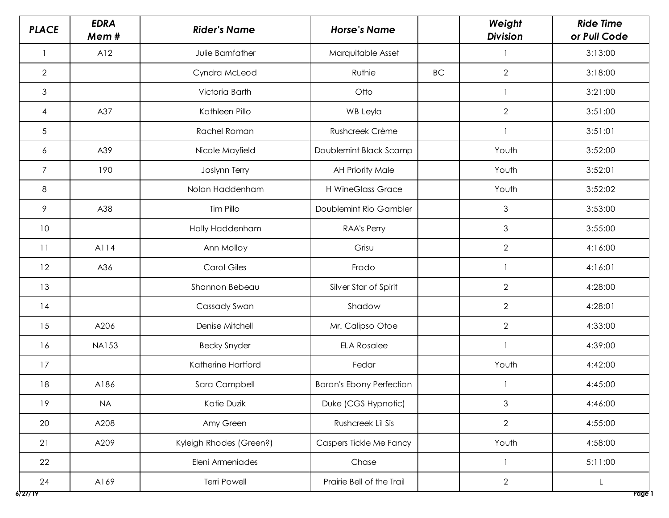| <b>PLACE</b>   | <b>EDRA</b><br>Mem# | <b>Rider's Name</b>     | <b>Horse's Name</b>             |           | Weight<br><b>Division</b> | <b>Ride Time</b><br>or Pull Code |
|----------------|---------------------|-------------------------|---------------------------------|-----------|---------------------------|----------------------------------|
|                | A12                 | Julie Barnfather        | Marquitable Asset               |           |                           | 3:13:00                          |
| 2              |                     | Cyndra McLeod           | Ruthie                          | <b>BC</b> | $\overline{2}$            | 3:18:00                          |
| $\mathfrak{Z}$ |                     | Victoria Barth          | Otto                            |           |                           | 3:21:00                          |
| $\overline{4}$ | A37                 | Kathleen Pillo          | <b>WB Leyla</b>                 |           | $\overline{2}$            | 3:51:00                          |
| 5              |                     | Rachel Roman            | Rushcreek Crème                 |           |                           | 3:51:01                          |
| 6              | A39                 | Nicole Mayfield         | Doublemint Black Scamp          |           | Youth                     | 3:52:00                          |
| $\overline{7}$ | 190                 | Joslynn Terry           | <b>AH Priority Male</b>         |           | Youth                     | 3:52:01                          |
| $\,8\,$        |                     | Nolan Haddenham         | <b>H WineGlass Grace</b>        |           | Youth                     | 3:52:02                          |
| $\mathcal{P}$  | A38                 | Tim Pillo               | Doublemint Rio Gambler          |           | 3                         | 3:53:00                          |
| 10             |                     | Holly Haddenham         | RAA's Perry                     |           | 3                         | 3:55:00                          |
| 11             | A114                | Ann Molloy              | Grisu                           |           | $\mathbf{2}$              | 4:16:00                          |
| 12             | A36                 | <b>Carol Giles</b>      | Frodo                           |           |                           | 4:16:01                          |
| 13             |                     | Shannon Bebeau          | Silver Star of Spirit           |           | $\overline{2}$            | 4:28:00                          |
| 14             |                     | Cassady Swan            | Shadow                          |           | $\mathbf{2}$              | 4:28:01                          |
| 15             | A206                | Denise Mitchell         | Mr. Calipso Otoe                |           | $\mathbf{2}$              | 4:33:00                          |
| 16             | <b>NA153</b>        | <b>Becky Snyder</b>     | <b>ELA Rosalee</b>              |           |                           | 4:39:00                          |
| 17             |                     | Katherine Hartford      | Fedar                           |           | Youth                     | 4:42:00                          |
| 18             | A186                | Sara Campbell           | <b>Baron's Ebony Perfection</b> |           |                           | 4:45:00                          |
| 19             | <b>NA</b>           | Katie Duzik             | Duke (CGS Hypnotic)             |           | $\mathfrak{S}$            | 4:46:00                          |
| 20             | A208                | Amy Green               | Rushcreek Lil Sis               |           | $\overline{2}$            | 4:55:00                          |
| 21             | A209                | Kyleigh Rhodes (Green?) | Caspers Tickle Me Fancy         |           | Youth                     | 4:58:00                          |
| 22             |                     | Eleni Armeniades        | Chase                           |           |                           | 5:11:00                          |
| 24<br>6727/19  | A169                | <b>Terri Powell</b>     | Prairie Bell of the Trail       |           | $\overline{2}$            | L<br>Page 1                      |